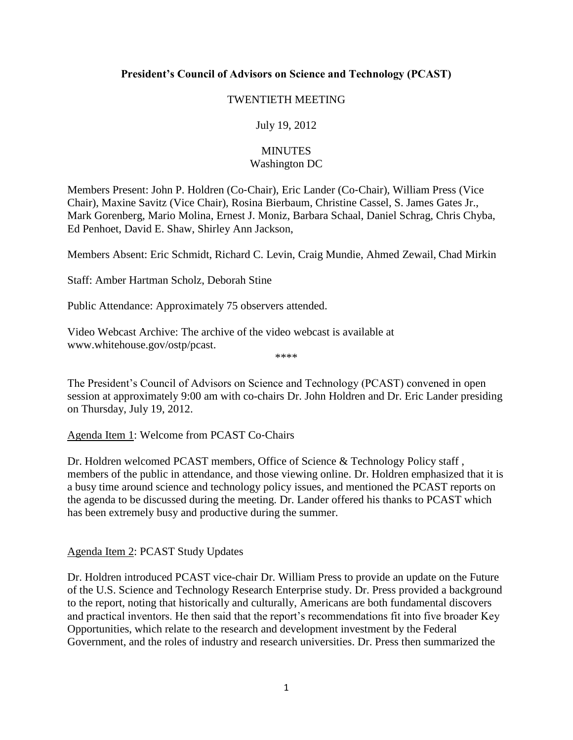## **President's Council of Advisors on Science and Technology (PCAST)**

## TWENTIETH MEETING

## July 19, 2012

## **MINUTES** Washington DC

Members Present: John P. Holdren (Co‐Chair), Eric Lander (Co‐Chair), William Press (Vice Chair), Maxine Savitz (Vice Chair), Rosina Bierbaum, Christine Cassel, S. James Gates Jr., Mark Gorenberg, Mario Molina, Ernest J. Moniz, Barbara Schaal, Daniel Schrag, Chris Chyba, Ed Penhoet, David E. Shaw, Shirley Ann Jackson,

Members Absent: Eric Schmidt, Richard C. Levin, Craig Mundie, Ahmed Zewail, Chad Mirkin

Staff: Amber Hartman Scholz, Deborah Stine

Public Attendance: Approximately 75 observers attended.

Video Webcast Archive: The archive of the video webcast is available at [www.whitehouse.gov/ostp/pcast.](http://www.whitehouse.gov/ostp/pcast)

The President's Council of Advisors on Science and Technology (PCAST) convened in open session at approximately 9:00 am with co-chairs Dr. John Holdren and Dr. Eric Lander presiding on Thursday, July 19, 2012.

\*\*\*\*

Agenda Item 1: Welcome from PCAST Co‐Chairs

Dr. Holdren welcomed PCAST members, Office of Science & Technology Policy staff , members of the public in attendance, and those viewing online. Dr. Holdren emphasized that it is a busy time around science and technology policy issues, and mentioned the PCAST reports on the agenda to be discussed during the meeting. Dr. Lander offered his thanks to PCAST which has been extremely busy and productive during the summer.

Agenda Item 2: PCAST Study Updates

Dr. Holdren introduced PCAST vice-chair Dr. William Press to provide an update on the Future of the U.S. Science and Technology Research Enterprise study. Dr. Press provided a background to the report, noting that historically and culturally, Americans are both fundamental discovers and practical inventors. He then said that the report's recommendations fit into five broader Key Opportunities, which relate to the research and development investment by the Federal Government, and the roles of industry and research universities. Dr. Press then summarized the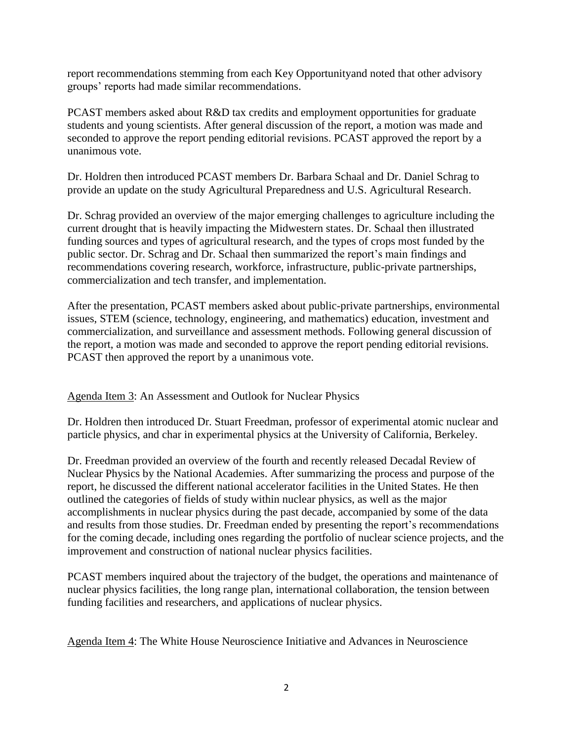report recommendations stemming from each Key Opportunityand noted that other advisory groups' reports had made similar recommendations.

PCAST members asked about R&D tax credits and employment opportunities for graduate students and young scientists. After general discussion of the report, a motion was made and seconded to approve the report pending editorial revisions. PCAST approved the report by a unanimous vote.

Dr. Holdren then introduced PCAST members Dr. Barbara Schaal and Dr. Daniel Schrag to provide an update on the study Agricultural Preparedness and U.S. Agricultural Research.

Dr. Schrag provided an overview of the major emerging challenges to agriculture including the current drought that is heavily impacting the Midwestern states. Dr. Schaal then illustrated funding sources and types of agricultural research, and the types of crops most funded by the public sector. Dr. Schrag and Dr. Schaal then summarized the report's main findings and recommendations covering research, workforce, infrastructure, public-private partnerships, commercialization and tech transfer, and implementation.

After the presentation, PCAST members asked about public-private partnerships, environmental issues, STEM (science, technology, engineering, and mathematics) education, investment and commercialization, and surveillance and assessment methods. Following general discussion of the report, a motion was made and seconded to approve the report pending editorial revisions. PCAST then approved the report by a unanimous vote.

Agenda Item 3: An Assessment and Outlook for Nuclear Physics

Dr. Holdren then introduced Dr. Stuart Freedman, professor of experimental atomic nuclear and particle physics, and char in experimental physics at the University of California, Berkeley.

Dr. Freedman provided an overview of the fourth and recently released Decadal Review of Nuclear Physics by the National Academies. After summarizing the process and purpose of the report, he discussed the different national accelerator facilities in the United States. He then outlined the categories of fields of study within nuclear physics, as well as the major accomplishments in nuclear physics during the past decade, accompanied by some of the data and results from those studies. Dr. Freedman ended by presenting the report's recommendations for the coming decade, including ones regarding the portfolio of nuclear science projects, and the improvement and construction of national nuclear physics facilities.

PCAST members inquired about the trajectory of the budget, the operations and maintenance of nuclear physics facilities, the long range plan, international collaboration, the tension between funding facilities and researchers, and applications of nuclear physics.

Agenda Item 4: The White House Neuroscience Initiative and Advances in Neuroscience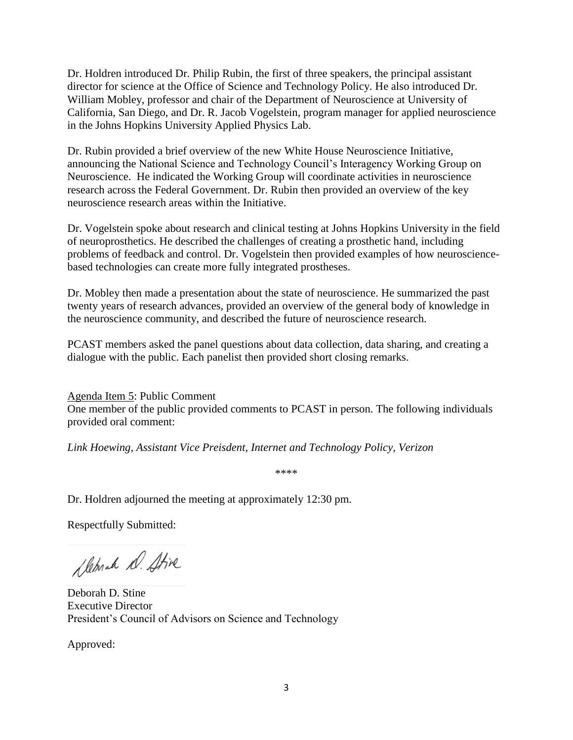Dr. Holdren introduced Dr. Philip Rubin, the first of three speakers, the principal assistant director for science at the Office of Science and Technology Policy. He also introduced Dr. William Mobley, professor and chair of the Department of Neuroscience at University of California, San Diego, and Dr. R. Jacob Vogelstein, program manager for applied neuroscience in the Johns Hopkins University Applied Physics Lab.

Dr. Rubin provided a brief overview of the new White House Neuroscience Initiative, announcing the National Science and Technology Council's Interagency Working Group on Neuroscience. He indicated the Working Group will coordinate activities in neuroscience research across the Federal Government. Dr. Rubin then provided an overview of the key neuroscience research areas within the Initiative.

Dr. Vogelstein spoke about research and clinical testing at Johns Hopkins University in the field of neuroprosthetics. He described the challenges of creating a prosthetic hand, including problems of feedback and control. Dr. Vogelstein then provided examples of how neurosciencebased technologies can create more fully integrated prostheses.

Dr. Mobley then made a presentation about the state of neuroscience. He summarized the past twenty years of research advances, provided an overview of the general body of knowledge in the neuroscience community, and described the future of neuroscience research.

PCAST members asked the panel questions about data collection, data sharing, and creating a dialogue with the public. Each panelist then provided short closing remarks.

Agenda Item 5: Public Comment One member of the public provided comments to PCAST in person. The following individuals provided oral comment:

*Link Hoewing, Assistant Vice Preisdent, Internet and Technology Policy, Verizon*

\*\*\*\*

Dr. Holdren adjourned the meeting at approximately 12:30 pm.

Respectfully Submitted:

Sleprah D. Stive

Deborah D. Stine Executive Director President's Council of Advisors on Science and Technology

Approved: